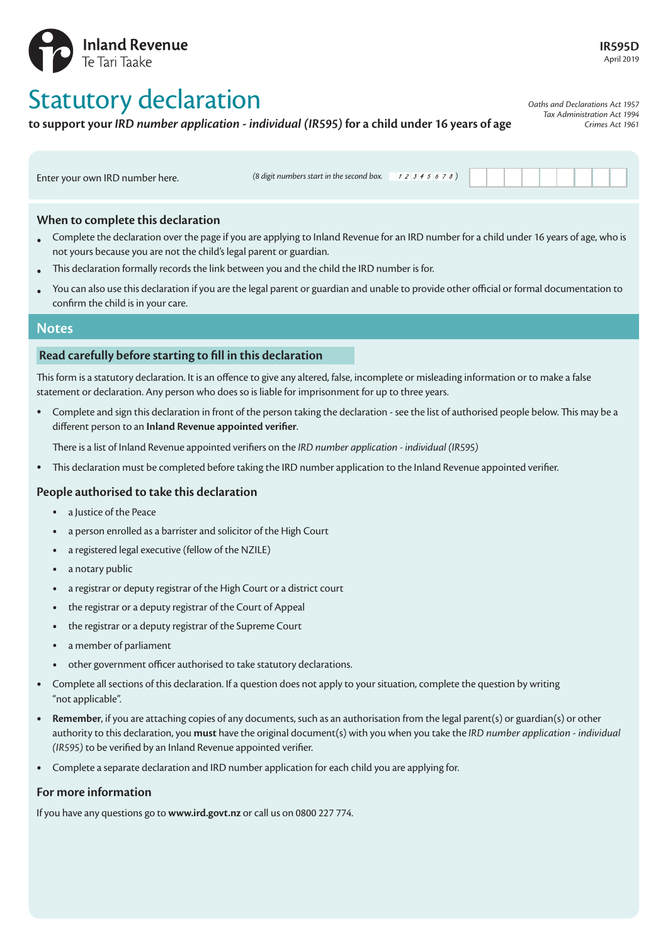

# Statutory declaration

**to support your** *IRD number application - individual (IR595)* **for a child under 16 years of age**

*Oaths and Declarations Act 1957 Tax Administration Act 1994 Crimes Act 1961*

Enter your own IRD number here. *(8 digit numbers start in the second box.*  $\sqrt{2}345678$ )

## **When to complete this declaration**

- Complete the declaration over the page if you are applying to Inland Revenue for an IRD number for a child under 16 years of age, who is not yours because you are not the child's legal parent or guardian.
- This declaration formally records the link between you and the child the IRD number is for.
- You can also use this declaration if you are the legal parent or guardian and unable to provide other official or formal documentation to confirm the child is in your care.

### **Notes**

### **Read carefully before starting to fill in this declaration**

This form is a statutory declaration. It is an offence to give any altered, false, incomplete or misleading information or to make a false statement or declaration. Any person who does so is liable for imprisonment for up to three years.

• Complete and sign this declaration in front of the person taking the declaration - see the list of authorised people below. This may be a different person to an **Inland Revenue appointed verifier**.

There is a list of Inland Revenue appointed verifiers on the *IRD number application - individual (IR595)*

• This declaration must be completed before taking the IRD number application to the Inland Revenue appointed verifier.

### **People authorised to take this declaration**

- a Justice of the Peace
- a person enrolled as a barrister and solicitor of the High Court
- a registered legal executive (fellow of the NZILE)
- a notary public
- a registrar or deputy registrar of the High Court or a district court
- the registrar or a deputy registrar of the Court of Appeal
- the registrar or a deputy registrar of the Supreme Court
- a member of parliament
- other government officer authorised to take statutory declarations.
- Complete all sections of this declaration. If a question does not apply to your situation, complete the question by writing "not applicable".
- **Remember**, if you are attaching copies of any documents, such as an authorisation from the legal parent(s) or guardian(s) or other authority to this declaration, you **must** have the original document(s) with you when you take the *IRD number application - individual (IR595)* to be verified by an Inland Revenue appointed verifier.
- Complete a separate declaration and IRD number application for each child you are applying for.

### **For more information**

If you have any questions go to **www.ird.govt.nz** or call us on 0800 227 774.